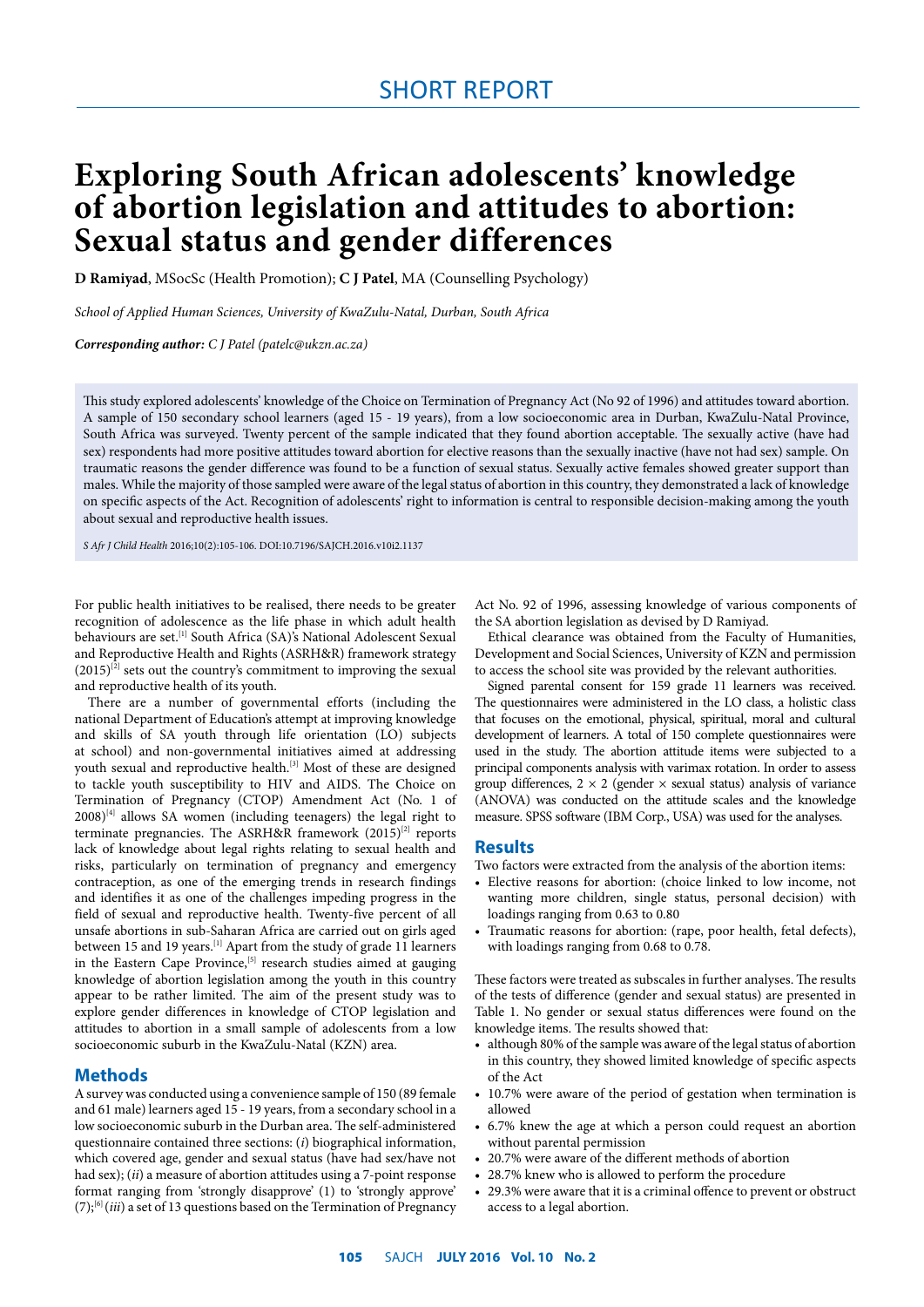# **Exploring South African adolescents' knowledge of abortion legislation and attitudes to abortion: Sexual status and gender differences**

**D Ramiyad**, MSocSc (Health Promotion); **C J Patel**, MA (Counselling Psychology)

*School of Applied Human Sciences, University of KwaZulu-Natal, Durban, South Africa*

*Corresponding author: C J Patel (patelc@ukzn.ac.za)*

This study explored adolescents' knowledge of the Choice on Termination of Pregnancy Act (No 92 of 1996) and attitudes toward abortion. A sample of 150 secondary school learners (aged 15 - 19 years), from a low socioeconomic area in Durban, KwaZulu-Natal Province, South Africa was surveyed. Twenty percent of the sample indicated that they found abortion acceptable. The sexually active (have had sex) respondents had more positive attitudes toward abortion for elective reasons than the sexually inactive (have not had sex) sample. On traumatic reasons the gender difference was found to be a function of sexual status. Sexually active females showed greater support than males. While the majority of those sampled were aware of the legal status of abortion in this country, they demonstrated a lack of knowledge on specific aspects of the Act. Recognition of adolescents' right to information is central to responsible decision-making among the youth about sexual and reproductive health issues.

*S Afr J Child Health* 2016;10(2):105-106. DOI:10.7196/SAJCH.2016.v10i2.1137

For public health initiatives to be realised, there needs to be greater recognition of adolescence as the life phase in which adult health behaviours are set.<sup>[1]</sup> South Africa (SA)'s National Adolescent Sexual and Reproductive Health and Rights (ASRH&R) framework strategy  $(2015)^{[2]}$  sets out the country's commitment to improving the sexual and reproductive health of its youth.

There are a number of governmental efforts (including the national Department of Education's attempt at improving knowledge and skills of SA youth through life orientation (LO) subjects at school) and non-governmental initiatives aimed at addressing youth sexual and reproductive health.<sup>[3]</sup> Most of these are designed to tackle youth susceptibility to HIV and AIDS. The Choice on Termination of Pregnancy (CTOP) Amendment Act (No. 1 of  $2008$ <sup>[4]</sup> allows SA women (including teenagers) the legal right to terminate pregnancies. The ASRH&R framework  $(2015)^{[2]}$  reports lack of knowledge about legal rights relating to sexual health and risks, particularly on termination of pregnancy and emergency contraception, as one of the emerging trends in research findings and identifies it as one of the challenges impeding progress in the field of sexual and reproductive health. Twenty-five percent of all unsafe abortions in sub-Saharan Africa are carried out on girls aged between 15 and 19 years.<sup>[1]</sup> Apart from the study of grade 11 learners in the Eastern Cape Province,<sup>[5]</sup> research studies aimed at gauging knowledge of abortion legislation among the youth in this country appear to be rather limited. The aim of the present study was to explore gender differences in knowledge of CTOP legislation and attitudes to abortion in a small sample of adolescents from a low socioeconomic suburb in the KwaZulu-Natal (KZN) area.

### **Methods**

A survey was conducted using a convenience sample of 150 (89 female and 61 male) learners aged 15 - 19 years, from a secondary school in a low socioeconomic suburb in the Durban area. The self-administered questionnaire contained three sections: (*i*) biographical information, which covered age, gender and sexual status (have had sex/have not had sex); (*ii*) a measure of abortion attitudes using a 7-point response format ranging from 'strongly disapprove' (1) to 'strongly approve'  $(7)$ ;<sup>[6]</sup> (*iii*) a set of 13 questions based on the Termination of Pregnancy Act No. 92 of 1996, assessing knowledge of various components of the SA abortion legislation as devised by D Ramiyad.

Ethical clearance was obtained from the Faculty of Humanities, Development and Social Sciences, University of KZN and permission to access the school site was provided by the relevant authorities.

Signed parental consent for 159 grade 11 learners was received. The questionnaires were administered in the LO class, a holistic class that focuses on the emotional, physical, spiritual, moral and cultural development of learners. A total of 150 complete questionnaires were used in the study. The abortion attitude items were subjected to a principal components analysis with varimax rotation. In order to assess group differences,  $2 \times 2$  (gender  $\times$  sexual status) analysis of variance (ANOVA) was conducted on the attitude scales and the knowledge measure. SPSS software (IBM Corp., USA) was used for the analyses.

#### **Results**

Two factors were extracted from the analysis of the abortion items:

- Elective reasons for abortion: (choice linked to low income, not wanting more children, single status, personal decision) with loadings ranging from 0.63 to 0.80
- Traumatic reasons for abortion: (rape, poor health, fetal defects), with loadings ranging from 0.68 to 0.78.

These factors were treated as subscales in further analyses. The results of the tests of difference (gender and sexual status) are presented in Table 1. No gender or sexual status differences were found on the knowledge items. The results showed that:

- although 80% of the sample was aware of the legal status of abortion in this country, they showed limited knowledge of specific aspects of the Act
- 10.7% were aware of the period of gestation when termination is allowed
- 6.7% knew the age at which a person could request an abortion without parental permission
- 20.7% were aware of the different methods of abortion
- 28.7% knew who is allowed to perform the procedure
- 29.3% were aware that it is a criminal offence to prevent or obstruct access to a legal abortion.